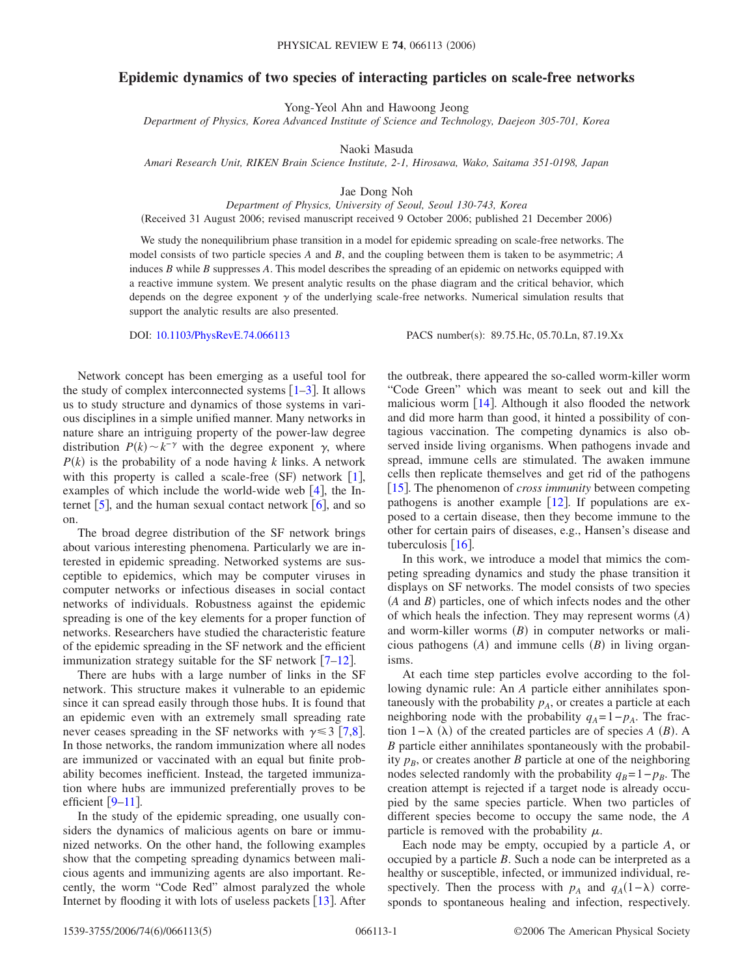## **Epidemic dynamics of two species of interacting particles on scale-free networks**

Yong-Yeol Ahn and Hawoong Jeong

*Department of Physics, Korea Advanced Institute of Science and Technology, Daejeon 305-701, Korea*

Naoki Masuda

*Amari Research Unit, RIKEN Brain Science Institute, 2-1, Hirosawa, Wako, Saitama 351-0198, Japan*

Jae Dong Noh

*Department of Physics, University of Seoul, Seoul 130-743, Korea*

(Received 31 August 2006; revised manuscript received 9 October 2006; published 21 December 2006)

We study the nonequilibrium phase transition in a model for epidemic spreading on scale-free networks. The model consists of two particle species *A* and *B*, and the coupling between them is taken to be asymmetric; *A* induces *B* while *B* suppresses *A*. This model describes the spreading of an epidemic on networks equipped with a reactive immune system. We present analytic results on the phase diagram and the critical behavior, which depends on the degree exponent  $\gamma$  of the underlying scale-free networks. Numerical simulation results that support the analytic results are also presented.

DOI: [10.1103/PhysRevE.74.066113](http://dx.doi.org/10.1103/PhysRevE.74.066113)

PACS number(s): 89.75.Hc, 05.70.Ln, 87.19.Xx

Network concept has been emerging as a useful tool for the study of complex interconnected systems  $\lceil 1-3 \rceil$  $\lceil 1-3 \rceil$  $\lceil 1-3 \rceil$ . It allows us to study structure and dynamics of those systems in various disciplines in a simple unified manner. Many networks in nature share an intriguing property of the power-law degree distribution  $P(k) \sim k^{-\gamma}$  with the degree exponent  $\gamma$ , where  $P(k)$  is the probability of a node having *k* links. A network with this property is called a scale-free  $(SF)$  network  $[1]$  $[1]$  $[1]$ , examples of which include the world-wide web  $[4]$  $[4]$  $[4]$ , the Internet  $\lceil 5 \rceil$  $\lceil 5 \rceil$  $\lceil 5 \rceil$ , and the human sexual contact network  $\lceil 6 \rceil$  $\lceil 6 \rceil$  $\lceil 6 \rceil$ , and so on.

The broad degree distribution of the SF network brings about various interesting phenomena. Particularly we are interested in epidemic spreading. Networked systems are susceptible to epidemics, which may be computer viruses in computer networks or infectious diseases in social contact networks of individuals. Robustness against the epidemic spreading is one of the key elements for a proper function of networks. Researchers have studied the characteristic feature of the epidemic spreading in the SF network and the efficient immunization strategy suitable for the SF network  $[7-12]$  $[7-12]$  $[7-12]$ .

There are hubs with a large number of links in the SF network. This structure makes it vulnerable to an epidemic since it can spread easily through those hubs. It is found that an epidemic even with an extremely small spreading rate never ceases spreading in the SF networks with  $\gamma \leq 3$  [[7,](#page-3-5)[8](#page-3-7)]. In those networks, the random immunization where all nodes are immunized or vaccinated with an equal but finite probability becomes inefficient. Instead, the targeted immunization where hubs are immunized preferentially proves to be efficient  $[9-11]$  $[9-11]$  $[9-11]$ .

In the study of the epidemic spreading, one usually considers the dynamics of malicious agents on bare or immunized networks. On the other hand, the following examples show that the competing spreading dynamics between malicious agents and immunizing agents are also important. Recently, the worm "Code Red" almost paralyzed the whole Internet by flooding it with lots of useless packets  $[13]$  $[13]$  $[13]$ . After the outbreak, there appeared the so-called worm-killer worm "Code Green" which was meant to seek out and kill the malicious worm  $\lceil 14 \rceil$  $\lceil 14 \rceil$  $\lceil 14 \rceil$ . Although it also flooded the network and did more harm than good, it hinted a possibility of contagious vaccination. The competing dynamics is also observed inside living organisms. When pathogens invade and spread, immune cells are stimulated. The awaken immune cells then replicate themselves and get rid of the pathogens [[15](#page-3-12)]. The phenomenon of *cross immunity* between competing pathogens is another example  $[12]$  $[12]$  $[12]$ . If populations are exposed to a certain disease, then they become immune to the other for certain pairs of diseases, e.g., Hansen's disease and tuberculosis  $\lceil 16 \rceil$  $\lceil 16 \rceil$  $\lceil 16 \rceil$ .

In this work, we introduce a model that mimics the competing spreading dynamics and study the phase transition it displays on SF networks. The model consists of two species (A and *B*) particles, one of which infects nodes and the other of which heals the infection. They may represent worms *A* and worm-killer worms (B) in computer networks or malicious pathogens  $(A)$  and immune cells  $(B)$  in living organisms.

At each time step particles evolve according to the following dynamic rule: An *A* particle either annihilates spontaneously with the probability  $p_A$ , or creates a particle at each neighboring node with the probability  $q_A = 1 - p_A$ . The fraction 1 –  $\lambda$  ( $\lambda$ ) of the created particles are of species *A* (*B*). A *B* particle either annihilates spontaneously with the probability  $p_B$ , or creates another *B* particle at one of the neighboring nodes selected randomly with the probability  $q_B=1-p_B$ . The creation attempt is rejected if a target node is already occupied by the same species particle. When two particles of different species become to occupy the same node, the *A* particle is removed with the probability  $\mu$ .

Each node may be empty, occupied by a particle *A*, or occupied by a particle *B*. Such a node can be interpreted as a healthy or susceptible, infected, or immunized individual, respectively. Then the process with  $p_A$  and  $q_A(1-\lambda)$  corresponds to spontaneous healing and infection, respectively.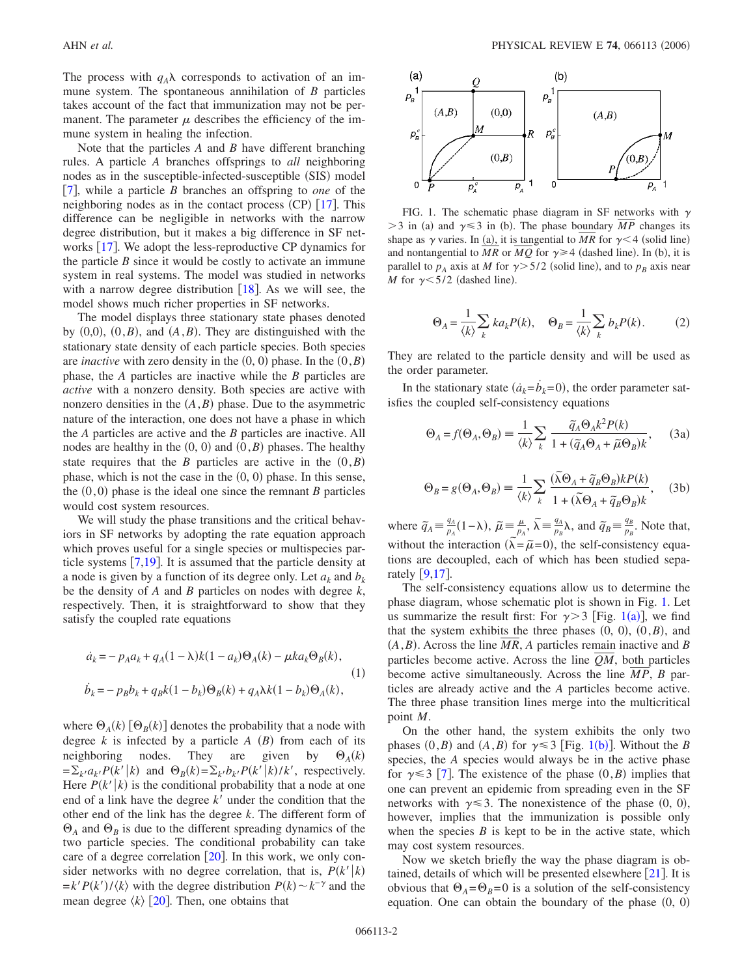The process with  $q_A\lambda$  corresponds to activation of an immune system. The spontaneous annihilation of *B* particles takes account of the fact that immunization may not be permanent. The parameter  $\mu$  describes the efficiency of the immune system in healing the infection.

Note that the particles *A* and *B* have different branching rules. A particle *A* branches offsprings to *all* neighboring nodes as in the susceptible-infected-susceptible (SIS) model [7](#page-3-5), while a particle *B* branches an offspring to *one* of the neighboring nodes as in the contact process  $(CP)$  [[17](#page-3-14)]. This difference can be negligible in networks with the narrow degree distribution, but it makes a big difference in SF networks  $[17]$  $[17]$  $[17]$ . We adopt the less-reproductive CP dynamics for the particle  $B$  since it would be costly to activate an immune system in real systems. The model was studied in networks with a narrow degree distribution  $\lceil 18 \rceil$  $\lceil 18 \rceil$  $\lceil 18 \rceil$ . As we will see, the model shows much richer properties in SF networks.

The model displays three stationary state phases denoted by  $(0,0)$ ,  $(0, B)$ , and  $(A, B)$ . They are distinguished with the stationary state density of each particle species. Both species are *inactive* with zero density in the  $(0, 0)$  phase. In the  $(0, B)$ phase, the *A* particles are inactive while the *B* particles are *active* with a nonzero density. Both species are active with nonzero densities in the  $(A, B)$  phase. Due to the asymmetric nature of the interaction, one does not have a phase in which the *A* particles are active and the *B* particles are inactive. All nodes are healthy in the  $(0, 0)$  and  $(0, B)$  phases. The healthy state requires that the *B* particles are active in the  $(0, B)$ phase, which is not the case in the  $(0, 0)$  phase. In this sense, the  $(0,0)$  phase is the ideal one since the remnant *B* particles would cost system resources.

We will study the phase transitions and the critical behaviors in SF networks by adopting the rate equation approach which proves useful for a single species or multispecies particle systems  $\lceil 7,19 \rceil$  $\lceil 7,19 \rceil$  $\lceil 7,19 \rceil$  $\lceil 7,19 \rceil$ . It is assumed that the particle density at a node is given by a function of its degree only. Let  $a_k$  and  $b_k$ be the density of *A* and *B* particles on nodes with degree *k*, respectively. Then, it is straightforward to show that they satisfy the coupled rate equations

$$
\dot{a}_k = -p_A a_k + q_A (1 - \lambda) k (1 - a_k) \Theta_A(k) - \mu k a_k \Theta_B(k),
$$
  
(1)  

$$
\dot{b}_k = -p_B b_k + q_B k (1 - b_k) \Theta_B(k) + q_A \lambda k (1 - b_k) \Theta_A(k),
$$

where  $\Theta_A(k)$   $[\Theta_B(k)]$  denotes the probability that a node with degree  $k$  is infected by a particle  $A$   $(B)$  from each of its neighboring nodes. They are given by  $\Theta_A(k)$  $= \sum_{k'} a_{k'} P(k'|k)$  and  $\Theta_B(k) = \sum_{k'} b_{k'} P(k'|k)/k'$ , respectively. Here  $P(k'|k)$  is the conditional probability that a node at one end of a link have the degree  $k'$  under the condition that the other end of the link has the degree *k*. The different form of  $\Theta_A$  and  $\Theta_B$  is due to the different spreading dynamics of the two particle species. The conditional probability can take care of a degree correlation  $\lceil 20 \rceil$  $\lceil 20 \rceil$  $\lceil 20 \rceil$ . In this work, we only consider networks with no degree correlation, that is,  $P(k'|k)$  $=k'P(k')$ / $\langle k \rangle$  with the degree distribution  $P(k) \sim k^{-\gamma}$  and the mean degree  $\langle k \rangle$  [[20](#page-3-15)]. Then, one obtains that

<span id="page-1-0"></span>

FIG. 1. The schematic phase diagram in SF networks with  $\gamma$  $>$ 3 in (a) and  $\gamma \leq$ 3 in (b). The phase boundary *MP* changes its shape as  $\gamma$  varies. In (a), it is tangential to *MR* for  $\gamma$  < 4 (solid line) and nontangential to MR or MQ for  $\gamma \geq 4$  (dashed line). In (b), it is parallel to  $p_A$  axis at *M* for  $\gamma > 5/2$  (solid line), and to  $p_B$  axis near *M* for  $\gamma$  < 5/2 (dashed line).

$$
\Theta_A = \frac{1}{\langle k \rangle} \sum_k k a_k P(k), \quad \Theta_B = \frac{1}{\langle k \rangle} \sum_k b_k P(k). \tag{2}
$$

They are related to the particle density and will be used as the order parameter.

<span id="page-1-1"></span>In the stationary state  $(\dot{a}_k = \dot{b}_k = 0)$ , the order parameter satisfies the coupled self-consistency equations

$$
\Theta_A = f(\Theta_A, \Theta_B) = \frac{1}{\langle k \rangle} \sum_k \frac{\tilde{q}_A \Theta_A k^2 P(k)}{1 + (\tilde{q}_A \Theta_A + \tilde{\mu} \Theta_B)k}, \quad (3a)
$$

$$
\Theta_B = g(\Theta_A, \Theta_B) \equiv \frac{1}{\langle k \rangle} \sum_k \frac{(\tilde{\lambda}\Theta_A + \tilde{q}_B \Theta_B) k P(k)}{1 + (\tilde{\lambda}\Theta_A + \tilde{q}_B \Theta_B) k}, \quad (3b)
$$

where  $\tilde{q}_A = \frac{q_A}{p_A}(1-\lambda)$ ,  $\tilde{\mu} = \frac{\mu}{p_A}$ ,  $\tilde{\lambda} = \frac{q_A}{p_B}\lambda$ , and  $\tilde{q}_B = \frac{q_B}{p_B}$ . Note that, without the interaction  $(\widetilde{\lambda} = \widetilde{\mu} = 0)$ , the self-consistency equations are decoupled, each of which has been studied separately  $[9,17]$  $[9,17]$  $[9,17]$  $[9,17]$ .

The self-consistency equations allow us to determine the phase diagram, whose schematic plot is shown in Fig. [1.](#page-1-0) Let us summarize the result first: For  $\gamma$  > 3 [Fig. [1](#page-1-0)(a)], we find that the system exhibits the three phases  $(0, 0), (0, B)$ , and  $(A, B)$ . Across the line *MR*, *A* particles remain inactive and *B* particles become active. Across the line *QM*, both particles become active simultaneously. Across the line *MP*, *B* particles are already active and the *A* particles become active. The three phase transition lines merge into the multicritical point *M*.

On the other hand, the system exhibits the only two phases  $(0, B)$  and  $(A, B)$  for  $\gamma \leq 3$  [Fig. [1](#page-1-0)(b)]. Without the *B* species, the *A* species would always be in the active phase for  $\gamma \leq 3$  [[7](#page-3-5)]. The existence of the phase  $(0, B)$  implies that one can prevent an epidemic from spreading even in the SF networks with  $\gamma \leq 3$ . The nonexistence of the phase (0, 0), however, implies that the immunization is possible only when the species  $B$  is kept to be in the active state, which may cost system resources.

Now we sketch briefly the way the phase diagram is obtained, details of which will be presented elsewhere  $[21]$  $[21]$  $[21]$ . It is obvious that  $\Theta_A = \Theta_B = 0$  is a solution of the self-consistency equation. One can obtain the boundary of the phase  $(0, 0)$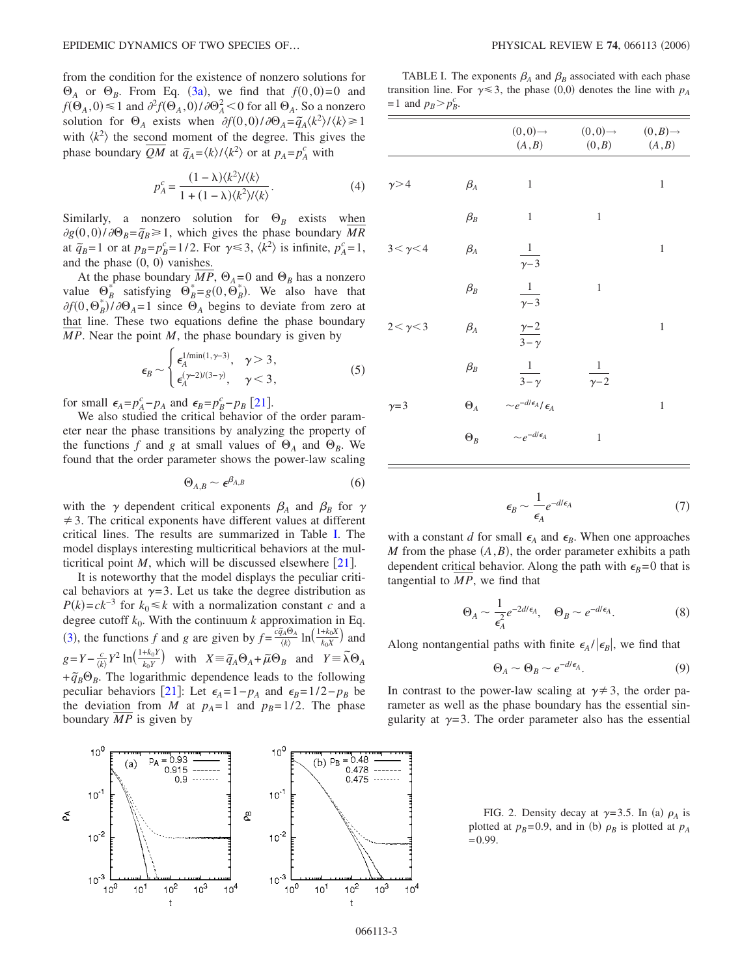from the condition for the existence of nonzero solutions for  $\Theta_A$  or  $\Theta_B$ . From Eq. ([3a](#page-1-1)), we find that  $f(0,0)=0$  and  $f(\Theta_A, 0) \le 1$  and  $\partial^2 f(\Theta_A, 0) / \partial \Theta_A^2 < 0$  for all  $\Theta_A$ . So a nonzero solution for  $\Theta_A$  exists when  $\partial f(0,0)/\partial \Theta_A = \tilde{q}_A \langle k^2 \rangle / \langle k \rangle \ge 1$ with  $\langle k^2 \rangle$  the second moment of the degree. This gives the phase boundary  $\overline{QM}$  at  $\tilde{q}_A = \langle k \rangle / \langle k^2 \rangle$  or at  $p_A = p_A^c$  with

$$
p_A^c = \frac{(1 - \lambda)\langle k^2 \rangle / \langle k \rangle}{1 + (1 - \lambda)\langle k^2 \rangle / \langle k \rangle}.
$$
 (4)

Similarly, a nonzero solution for  $\Theta_B$  exists when  $\frac{\partial g}{\partial g(0,0)}/\partial \Theta_B = \tilde{q}_B \ge 1$ , which gives the phase boundary *MR* at  $\tilde{q}_B = 1$  or at  $p_B = p_B^c = 1/2$ . For  $\gamma \leq 3$ ,  $\langle k^2 \rangle$  is infinite,  $p_A^c = 1$ , and the phase  $(0, 0)$  vanishes.

At the phase boundary  $MP$ ,  $\Theta_A = 0$  and  $\Theta_B$  has a nonzero value  $\Theta_B^*$  satisfying  $\Theta_B^* = g(0, \Theta_B^*)$ . We also have that  $\partial f(0, \Theta_B^*) / \partial \Theta_A = 1$  since  $\Theta_A$  begins to deviate from zero at that line. These two equations define the phase boundary *MP*. Near the point *M*, the phase boundary is given by

$$
\epsilon_B \sim \begin{cases} \epsilon_A^{1/\min(1,\gamma-3)}, & \gamma > 3, \\ \epsilon_A^{(\gamma-2)/(3-\gamma)}, & \gamma < 3, \end{cases}
$$
(5)

for small  $\epsilon_A = p_A^c - p_A$  and  $\epsilon_B = p_B^c - p_B$  [[21](#page-4-2)].

We also studied the critical behavior of the order parameter near the phase transitions by analyzing the property of the functions f and g at small values of  $\Theta_A$  and  $\Theta_B$ . We found that the order parameter shows the power-law scaling

$$
\Theta_{A,B} \sim \epsilon^{\beta_{A,B}} \tag{6}
$$

with the  $\gamma$  dependent critical exponents  $\beta_A$  and  $\beta_B$  for  $\gamma$  $\neq$  3. The critical exponents have different values at different critical lines. The results are summarized in Table [I.](#page-2-0) The model displays interesting multicritical behaviors at the multicritical point *M*, which will be discussed elsewhere  $\lceil 21 \rceil$  $\lceil 21 \rceil$  $\lceil 21 \rceil$ .

It is noteworthy that the model displays the peculiar critical behaviors at  $\gamma = 3$ . Let us take the degree distribution as  $P(k) = ck^{-3}$  for  $k_0 \le k$  with a normalization constant *c* and a degree cutoff  $k_0$ . With the continuum  $k$  approximation in Eq. ([3](#page-1-1)), the functions *f* and *g* are given by  $f = \frac{c\bar{q}_A \Theta_A}{\langle k \rangle} \ln\left(\frac{1+k_0 X}{k_0 X}\right)$  and  $g = Y - \frac{c}{\langle k \rangle} Y^2 \ln\left(\frac{1 + k_0 Y}{k_0 Y}\right)$  with  $X = \widetilde{q}_A \Theta_A + \widetilde{\mu} \Theta_B$  and  $Y = \widetilde{\lambda} \Theta_A$ + $\tilde{q}_B \Theta_B$ . The logarithmic dependence leads to the following peculiar behaviors [[21](#page-4-2)]: Let  $\epsilon_A = 1 - p_A$  and  $\epsilon_B = 1/2 - p_B$  be the deviation from *M* at  $p_A = 1$  and  $p_B = 1/2$ . The phase boundary *MP* is given by

<span id="page-2-1"></span>

<span id="page-2-0"></span>TABLE I. The exponents  $\beta_A$  and  $\beta_B$  associated with each phase transition line. For  $\gamma \leq 3$ , the phase (0,0) denotes the line with  $p_A$  $=1$  and  $p_B > p_B^c$ .

|                  |            | $(0,0)$ $\rightarrow$<br>(A, B)              | $(0,0)$ $\rightarrow$<br>(0,B)     | $(0, B) \rightarrow$<br>(A, B) |
|------------------|------------|----------------------------------------------|------------------------------------|--------------------------------|
| $\gamma$ > 4     | $\beta_A$  | 1                                            |                                    | 1                              |
|                  | $\beta_B$  | $\mathbf{1}$                                 | $\mathbf{1}$                       |                                |
| $3 < \gamma < 4$ | $\beta_A$  | $\frac{1}{\sqrt{2}}$<br>$\frac{1}{\gamma-3}$ |                                    | $\mathbf{1}$                   |
|                  | $\beta_B$  | $\frac{1}{\gamma - 3}$                       | $\mathbf{1}$                       |                                |
| $2 < \gamma < 3$ | $\beta_A$  | $\frac{\gamma-2}{3-\gamma}$                  |                                    | $\mathbf{1}$                   |
|                  | $\beta_B$  | $\frac{1}{3-\gamma}$                         | $\frac{1}{\sqrt{2}}$<br>$\sqrt{2}$ |                                |
| $\gamma = 3$     | $\Theta_A$ | $\sim e^{-d/\epsilon_A}/\epsilon_A$          |                                    | 1                              |
|                  | $\Theta_B$ | $\sim e^{-d/\epsilon_A}$                     | $\mathbf{1}$                       |                                |

$$
\epsilon_B \sim \frac{1}{\epsilon_A} e^{-d/\epsilon_A} \tag{7}
$$

with a constant *d* for small  $\epsilon_A$  and  $\epsilon_B$ . When one approaches *M* from the phase  $(A, B)$ , the order parameter exhibits a path dependent critical behavior. Along the path with  $\epsilon_B=0$  that is tangential to *MP*, we find that

$$
\Theta_A \sim \frac{1}{\epsilon_A^2} e^{-2d/\epsilon_A}, \quad \Theta_B \sim e^{-d/\epsilon_A}.
$$
 (8)

Along nontangential paths with finite  $\epsilon_A / |\epsilon_B|$ , we find that

$$
\Theta_A \sim \Theta_B \sim e^{-d/\epsilon_A}.\tag{9}
$$

In contrast to the power-law scaling at  $\gamma \neq 3$ , the order parameter as well as the phase boundary has the essential singularity at  $\gamma = 3$ . The order parameter also has the essential

FIG. 2. Density decay at  $\gamma = 3.5$ . In (a)  $\rho_A$  is plotted at  $p_B = 0.9$ , and in (b)  $\rho_B$  is plotted at  $p_A$  $=0.99.$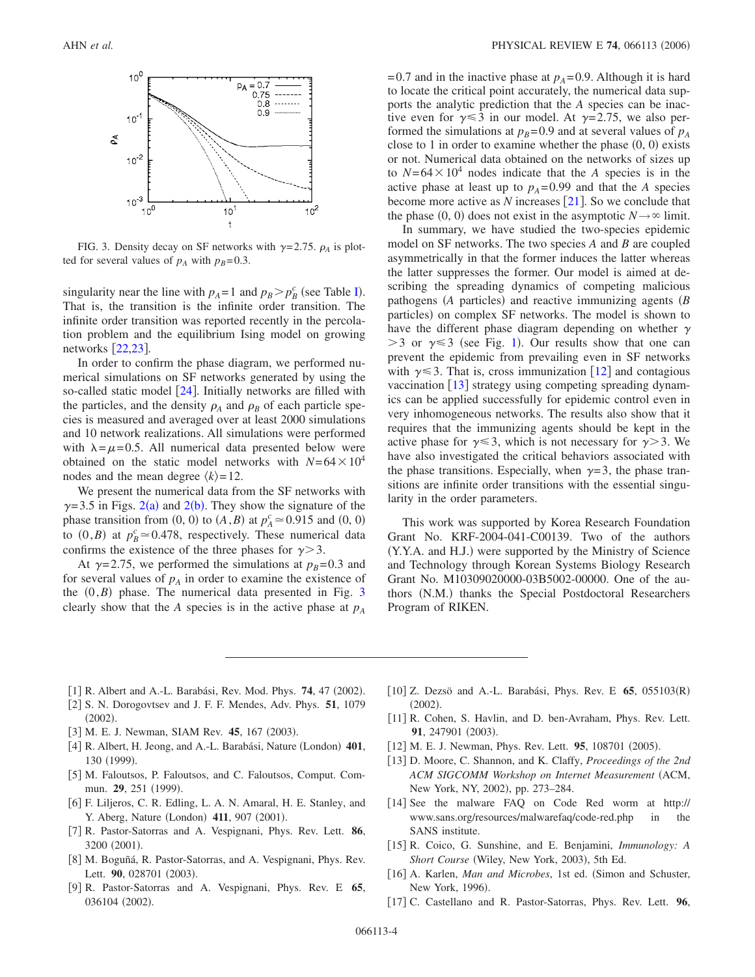<span id="page-3-16"></span>

FIG. 3. Density decay on SF networks with  $\gamma$ =2.75.  $\rho_A$  is plotted for several values of  $p_A$  with  $p_B=0.3$ .

singularity near the line with  $p_A = 1$  and  $p_B > p_B^c$  (see Table [I](#page-2-0)). That is, the transition is the infinite order transition. The infinite order transition was reported recently in the percolation problem and the equilibrium Ising model on growing networks  $[22,23]$  $[22,23]$  $[22,23]$  $[22,23]$ .

In order to confirm the phase diagram, we performed numerical simulations on SF networks generated by using the so-called static model  $[24]$  $[24]$  $[24]$ . Initially networks are filled with the particles, and the density  $\rho_A$  and  $\rho_B$  of each particle species is measured and averaged over at least 2000 simulations and 10 network realizations. All simulations were performed with  $\lambda = \mu = 0.5$ . All numerical data presented below were obtained on the static model networks with  $N=64\times10^4$ nodes and the mean degree  $\langle k \rangle = 12$ .

We present the numerical data from the SF networks with  $\gamma$ =3.5 in Figs. [2](#page-2-1)(a) and 2(b). They show the signature of the phase transition from  $(0, 0)$  to  $(A, B)$  at  $p_A^c \approx 0.915$  and  $(0, 0)$ to  $(0, B)$  at  $p_B^c \approx 0.478$ , respectively. These numerical data confirms the existence of the three phases for  $\gamma$  > 3.

At  $\gamma$ =2.75, we performed the simulations at  $p_B$ =0.3 and for several values of  $p_A$  in order to examine the existence of the  $(0, B)$  phase. The numerical data presented in Fig. [3](#page-3-16) clearly show that the *A* species is in the active phase at  $p_A$ 

 $=0.7$  and in the inactive phase at  $p_A = 0.9$ . Although it is hard to locate the critical point accurately, the numerical data supports the analytic prediction that the *A* species can be inactive even for  $\gamma \leq 3$  in our model. At  $\gamma = 2.75$ , we also performed the simulations at  $p_B$ =0.9 and at several values of  $p_A$ close to 1 in order to examine whether the phase  $(0, 0)$  exists or not. Numerical data obtained on the networks of sizes up to  $N=64\times10^4$  nodes indicate that the *A* species is in the active phase at least up to  $p_A = 0.99$  and that the *A* species become more active as  $N$  increases [[21](#page-4-2)]. So we conclude that the phase  $(0, 0)$  does not exist in the asymptotic  $N \rightarrow \infty$  limit.

In summary, we have studied the two-species epidemic model on SF networks. The two species *A* and *B* are coupled asymmetrically in that the former induces the latter whereas the latter suppresses the former. Our model is aimed at describing the spreading dynamics of competing malicious pathogens (A particles) and reactive immunizing agents (B particles) on complex SF networks. The model is shown to have the different phase diagram depending on whether  $\gamma$  $>$  3 or  $\gamma$   $\le$  3 (see Fig. [1](#page-1-0)). Our results show that one can prevent the epidemic from prevailing even in SF networks with  $\gamma \leq 3$ . That is, cross immunization [[12](#page-3-6)] and contagious vaccination  $[13]$  $[13]$  $[13]$  strategy using competing spreading dynamics can be applied successfully for epidemic control even in very inhomogeneous networks. The results also show that it requires that the immunizing agents should be kept in the active phase for  $\gamma \leq 3$ , which is not necessary for  $\gamma > 3$ . We have also investigated the critical behaviors associated with the phase transitions. Especially, when  $\gamma=3$ , the phase transitions are infinite order transitions with the essential singularity in the order parameters.

This work was supported by Korea Research Foundation Grant No. KRF-2004-041-C00139. Two of the authors (Y.Y.A. and H.J.) were supported by the Ministry of Science and Technology through Korean Systems Biology Research Grant No. M10309020000-03B5002-00000. One of the authors (N.M.) thanks the Special Postdoctoral Researchers Program of RIKEN.

- <span id="page-3-0"></span>[1] R. Albert and A.-L. Barabási, Rev. Mod. Phys. **74**, 47 (2002).
- 2 S. N. Dorogovtsev and J. F. F. Mendes, Adv. Phys. **51**, 1079  $(2002).$
- <span id="page-3-1"></span>[3] M. E. J. Newman, SIAM Rev. 45, 167 (2003).
- <span id="page-3-2"></span>[4] R. Albert, H. Jeong, and A.-L. Barabási, Nature (London) 401, 130 (1999).
- <span id="page-3-3"></span>[5] M. Faloutsos, P. Faloutsos, and C. Faloutsos, Comput. Commun. **29**, 251 (1999).
- <span id="page-3-4"></span>6 F. Liljeros, C. R. Edling, L. A. N. Amaral, H. E. Stanley, and Y. Aberg, Nature (London) 411, 907 (2001).
- <span id="page-3-5"></span>7 R. Pastor-Satorras and A. Vespignani, Phys. Rev. Lett. **86**, 3200 (2001).
- <span id="page-3-7"></span>[8] M. Boguñá, R. Pastor-Satorras, and A. Vespignani, Phys. Rev. Lett. 90, 028701 (2003).
- <span id="page-3-8"></span>9 R. Pastor-Satorras and A. Vespignani, Phys. Rev. E **65**, 036104 (2002).
- <span id="page-3-15"></span>[10] Z. Dezsö and A.-L. Barabási, Phys. Rev. E 65, 055103(R)  $(2002).$
- <span id="page-3-9"></span>[11] R. Cohen, S. Havlin, and D. ben-Avraham, Phys. Rev. Lett. 91, 247901 (2003).
- <span id="page-3-6"></span>[12] M. E. J. Newman, Phys. Rev. Lett. **95**, 108701 (2005).
- <span id="page-3-10"></span>13 D. Moore, C. Shannon, and K. Claffy, *Proceedings of the 2nd ACM SIGCOMM Workshop on Internet Measurement* ACM, New York, NY, 2002), pp. 273-284.
- <span id="page-3-11"></span>[14] See the malware FAQ on Code Red worm at http:// www.sans.org/resources/malwarefaq/code-red.php in the SANS institute.
- <span id="page-3-12"></span>15 R. Coico, G. Sunshine, and E. Benjamini, *Immunology: A* Short Course (Wiley, New York, 2003), 5th Ed.
- <span id="page-3-13"></span>[16] A. Karlen, *Man and Microbes*, 1st ed. (Simon and Schuster, New York, 1996).
- <span id="page-3-14"></span>17 C. Castellano and R. Pastor-Satorras, Phys. Rev. Lett. **96**,